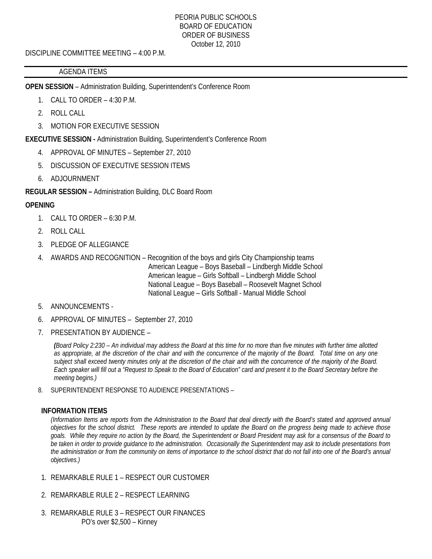DISCIPLINE COMMITTEE MEETING – 4:00 P.M.

## AGENDA ITEMS

**OPEN SESSION** – Administration Building, Superintendent's Conference Room

- 1. CALL TO ORDER 4:30 P.M.
- 2. ROLL CALL
- 3. MOTION FOR EXECUTIVE SESSION

**EXECUTIVE SESSION -** Administration Building, Superintendent's Conference Room

- 4. APPROVAL OF MINUTES September 27, 2010
- 5. DISCUSSION OF EXECUTIVE SESSION ITEMS
- 6. ADJOURNMENT

**REGULAR SESSION –** Administration Building, DLC Board Room

# **OPENING**

- 1. CALL TO ORDER 6:30 P.M.
- 2. ROLL CALL
- 3. PLEDGE OF ALLEGIANCE
- 4. AWARDS AND RECOGNITION Recognition of the boys and girls City Championship teams American League – Boys Baseball – Lindbergh Middle School American league – Girls Softball – Lindbergh Middle School National League – Boys Baseball – Roosevelt Magnet School National League – Girls Softball - Manual Middle School

# 5. ANNOUNCEMENTS -

- 6. APPROVAL OF MINUTES September 27, 2010
- 7. PRESENTATION BY AUDIENCE –

*(Board Policy 2:230 – An individual may address the Board at this time for no more than five minutes with further time allotted as appropriate, at the discretion of the chair and with the concurrence of the majority of the Board. Total time on any one subject shall exceed twenty minutes only at the discretion of the chair and with the concurrence of the majority of the Board. Each speaker will fill out a "Request to Speak to the Board of Education" card and present it to the Board Secretary before the meeting begins.)* 

8. SUPERINTENDENT RESPONSE TO AUDIENCE PRESENTATIONS –

#### **INFORMATION ITEMS**

*(Information Items are reports from the Administration to the Board that deal directly with the Board's stated and approved annual objectives for the school district. These reports are intended to update the Board on the progress being made to achieve those goals. While they require no action by the Board, the Superintendent or Board President may ask for a consensus of the Board to be taken in order to provide guidance to the administration. Occasionally the Superintendent may ask to include presentations from the administration or from the community on items of importance to the school district that do not fall into one of the Board's annual objectives.)* 

- 1. REMARKABLE RULE 1 RESPECT OUR CUSTOMER
- 2. REMARKABLE RULE 2 RESPECT LEARNING
- 3. REMARKABLE RULE 3 RESPECT OUR FINANCES PO's over \$2,500 – Kinney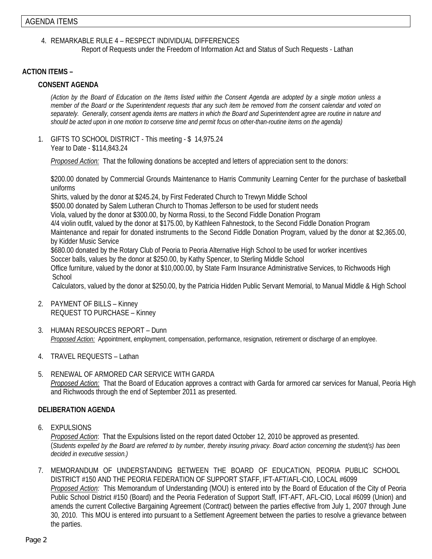4. REMARKABLE RULE 4 – RESPECT INDIVIDUAL DIFFERENCES

Report of Requests under the Freedom of Information Act and Status of Such Requests - Lathan

## **ACTION ITEMS –**

#### **CONSENT AGENDA**

*(Action by the Board of Education on the Items listed within the Consent Agenda are adopted by a single motion unless a member of the Board or the Superintendent requests that any such item be removed from the consent calendar and voted on separately. Generally, consent agenda items are matters in which the Board and Superintendent agree are routine in nature and should be acted upon in one motion to conserve time and permit focus on other-than-routine items on the agenda)* 

1. GIFTS TO SCHOOL DISTRICT - This meeting - \$ 14,975.24 Year to Date - \$114,843.24

*Proposed Action:* That the following donations be accepted and letters of appreciation sent to the donors:

\$200.00 donated by Commercial Grounds Maintenance to Harris Community Learning Center for the purchase of basketball uniforms

Shirts, valued by the donor at \$245.24, by First Federated Church to Trewyn Middle School

\$500.00 donated by Salem Lutheran Church to Thomas Jefferson to be used for student needs

Viola, valued by the donor at \$300.00, by Norma Rossi, to the Second Fiddle Donation Program

4/4 violin outfit, valued by the donor at \$175.00, by Kathleen Fahnestock, to the Second Fiddle Donation Program

Maintenance and repair for donated instruments to the Second Fiddle Donation Program, valued by the donor at \$2,365.00, by Kidder Music Service

\$680.00 donated by the Rotary Club of Peoria to Peoria Alternative High School to be used for worker incentives

 Soccer balls, values by the donor at \$250.00, by Kathy Spencer, to Sterling Middle School Office furniture, valued by the donor at \$10,000.00, by State Farm Insurance Administrative Services, to Richwoods High **School** 

Calculators, valued by the donor at \$250.00, by the Patricia Hidden Public Servant Memorial, to Manual Middle & High School

- 2. PAYMENT OF BILLS Kinney REQUEST TO PURCHASE – Kinney
- 3. HUMAN RESOURCES REPORT Dunn *Proposed Action:* Appointment, employment, compensation, performance, resignation, retirement or discharge of an employee.
- 4. TRAVEL REQUESTS Lathan
- 5. RENEWAL OF ARMORED CAR SERVICE WITH GARDA *Proposed Action:* That the Board of Education approves a contract with Garda for armored car services for Manual, Peoria High and Richwoods through the end of September 2011 as presented.

# **DELIBERATION AGENDA**

6. EXPULSIONS

*Proposed Action*: That the Expulsions listed on the report dated October 12, 2010 be approved as presented. (*Students expelled by the Board are referred to by number, thereby insuring privacy. Board action concerning the student(s) has been decided in executive session.)* 

7. MEMORANDUM OF UNDERSTANDING BETWEEN THE BOARD OF EDUCATION, PEORIA PUBLIC SCHOOL DISTRICT #150 AND THE PEORIA FEDERATION OF SUPPORT STAFF, IFT-AFT/AFL-CIO, LOCAL #6099 *Proposed Action:* This Memorandum of Understanding (MOU) is entered into by the Board of Education of the City of Peoria Public School District #150 (Board) and the Peoria Federation of Support Staff, IFT-AFT, AFL-CIO, Local #6099 (Union) and amends the current Collective Bargaining Agreement (Contract) between the parties effective from July 1, 2007 through June 30, 2010. This MOU is entered into pursuant to a Settlement Agreement between the parties to resolve a grievance between the parties.